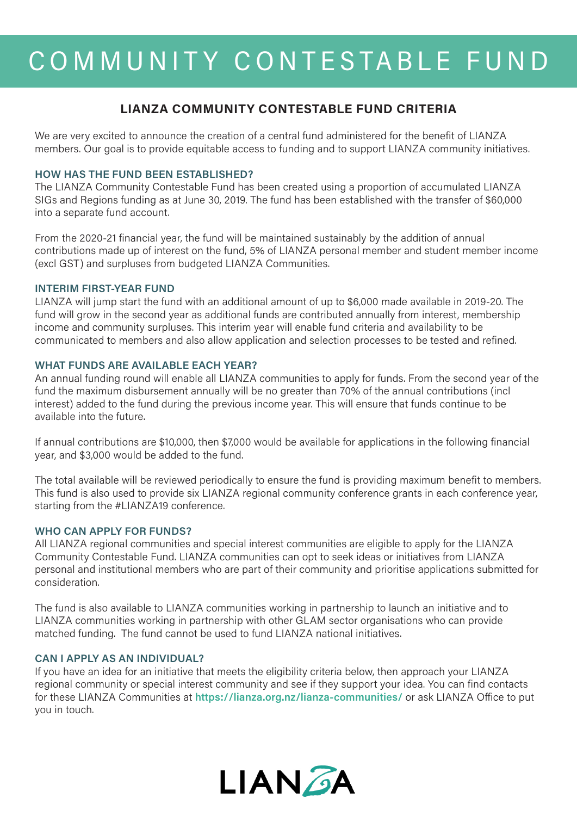# COMMUNITY CONTESTABLE FUND

## **LIANZA COMMUNITY CONTESTABLE FUND CRITERIA**

We are very excited to announce the creation of a central fund administered for the benefit of LIANZA members. Our goal is to provide equitable access to funding and to support LIANZA community initiatives.

#### **HOW HAS THE FUND BEEN ESTABLISHED?**

The LIANZA Community Contestable Fund has been created using a proportion of accumulated LIANZA SIGs and Regions funding as at June 30, 2019. The fund has been established with the transfer of \$60,000 into a separate fund account.

From the 2020-21 financial year, the fund will be maintained sustainably by the addition of annual contributions made up of interest on the fund, 5% of LIANZA personal member and student member income (excl GST) and surpluses from budgeted LIANZA Communities.

#### **INTERIM FIRST-YEAR FUND**

LIANZA will jump start the fund with an additional amount of up to \$6,000 made available in 2019-20. The fund will grow in the second year as additional funds are contributed annually from interest, membership income and community surpluses. This interim year will enable fund criteria and availability to be communicated to members and also allow application and selection processes to be tested and refined.

#### **WHAT FUNDS ARE AVAILABLE EACH YEAR?**

An annual funding round will enable all LIANZA communities to apply for funds. From the second year of the fund the maximum disbursement annually will be no greater than 70% of the annual contributions (incl interest) added to the fund during the previous income year. This will ensure that funds continue to be available into the future.

If annual contributions are \$10,000, then \$7,000 would be available for applications in the following financial year, and \$3,000 would be added to the fund.

The total available will be reviewed periodically to ensure the fund is providing maximum benefit to members. This fund is also used to provide six LIANZA regional community conference grants in each conference year, starting from the #LIANZA19 conference.

#### **WHO CAN APPLY FOR FUNDS?**

All LIANZA regional communities and special interest communities are eligible to apply for the LIANZA Community Contestable Fund. LIANZA communities can opt to seek ideas or initiatives from LIANZA personal and institutional members who are part of their community and prioritise applications submitted for consideration.

The fund is also available to LIANZA communities working in partnership to launch an initiative and to LIANZA communities working in partnership with other GLAM sector organisations who can provide matched funding. The fund cannot be used to fund LIANZA national initiatives.

### **CAN I APPLY AS AN INDIVIDUAL?**

If you have an idea for an initiative that meets the eligibility criteria below, then approach your LIANZA regional community or special interest community and see if they support your idea. You can find contacts for these LIANZA Communities at **<https://lianza.org.nz/lianza-communities/>** or ask LIANZA Office to put you in touch.